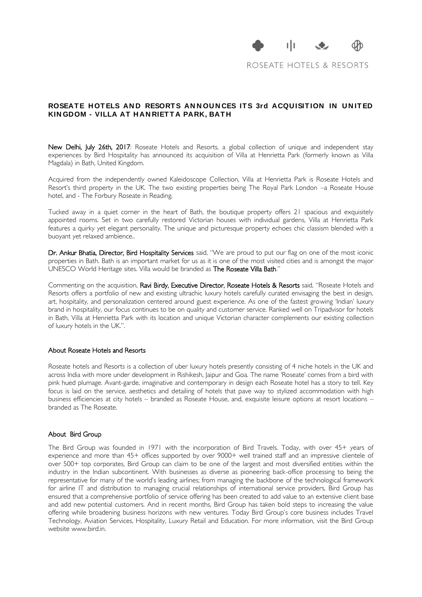

ROSEATE HOTELS & RESORTS

## ROSEATE HOTELS AND RESORTS ANNOUNCES ITS 3rd ACQUISITION IN UNITED **KIN GDOM - VILLA AT HAN RIETTA PARK, BATH**

New Delhi, July 26th, 2017: Roseate Hotels and Resorts, a global collection of unique and independent stay experiences by Bird Hospitality has announced its acquisition of Villa at Henrietta Park (formerly known as Villa Magdala) in Bath, United Kingdom.

Acquired from the independently owned Kaleidoscope Collection, Villa at Henrietta Park is Roseate Hotels and Resort's third property in the UK. The two existing properties being The Royal Park London –a Roseate House hotel, and - The Forbury Roseate in Reading.

Tucked away in a quiet corner in the heart of Bath, the boutique property offers 21 spacious and exquisitely appointed rooms. Set in two carefully restored Victorian houses with individual gardens, Villa at Henrietta Park features a quirky yet elegant personality. The unique and picturesque property echoes chic classism blended with a buoyant yet relaxed ambience..

Dr. Ankur Bhatia, Director, Bird Hospitality Services said, "We are proud to put our flag on one of the most iconic properties in Bath. Bath is an important market for us as it is one of the most visited cities and is amongst the major UNESCO World Heritage sites. Villa would be branded as The Roseate Villa Bath."

Commenting on the acquisition, Ravi Birdy, Executive Director, Roseate Hotels & Resorts said, "Roseate Hotels and Resorts offers a portfolio of new and existing ultrachic luxury hotels carefully curated envisaging the best in design, art, hospitality, and personalization centered around guest experience. As one of the fastest growing 'Indian' luxury brand in hospitality, our focus continues to be on quality and customer service. Ranked well on Tripadvisor for hotels in Bath, Villa at Henrietta Park with its location and unique Victorian character complements our existing collection of luxury hotels in the UK.".

## About Roseate Hotels and Resorts

Roseate hotels and Resorts is a collection of uber luxury hotels presently consisting of 4 niche hotels in the UK and across India with more under development in Rishikesh, Jaipur and Goa. The name 'Roseate' comes from a bird with pink hued plumage. Avant-garde, imaginative and contemporary in design each Roseate hotel has a story to tell. Key focus is laid on the service, aesthetics and detailing of hotels that pave way to stylized accommodation with high business efficiencies at city hotels – branded as Roseate House, and, exquisite leisure options at resort locations – branded as The Roseate.

## About Bird Group

The Bird Group was founded in 1971 with the incorporation of Bird Travels. Today, with over 45+ years of experience and more than 45+ offices supported by over 9000+ well trained staff and an impressive clientele of over 500+ top corporates, Bird Group can claim to be one of the largest and most diversified entities within the industry in the Indian subcontinent. With businesses as diverse as pioneering back-office processing to being the representative for many of the world's leading airlines; from managing the backbone of the technological framework for airline IT and distribution to managing crucial relationships of international service providers, Bird Group has ensured that a comprehensive portfolio of service offering has been created to add value to an extensive client base and add new potential customers. And in recent months, Bird Group has taken bold steps to increasing the value offering while broadening business horizons with new ventures. Today Bird Group's core business includes Travel Technology, Aviation Services, Hospitality, Luxury Retail and Education. For more information, visit the Bird Group website www.bird.in.